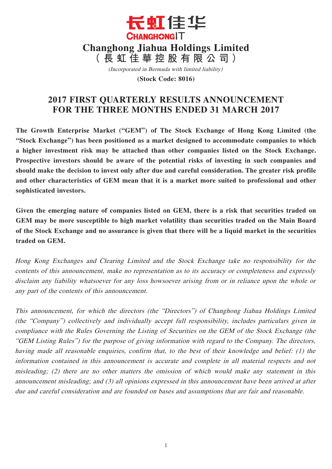

(Incorporated in Bermuda with limited liability)

**(Stock Code: 8016)**

# **2017 FIRST QUARTERLY RESULTS ANNOUNCEMENT FOR THE THREE MONTHS ENDED 31 MARCH 2017**

**The Growth Enterprise Market ("GEM") of The Stock Exchange of Hong Kong Limited (the "Stock Exchange") has been positioned as a market designed to accommodate companies to which a higher investment risk may be attached than other companies listed on the Stock Exchange. Prospective investors should be aware of the potential risks of investing in such companies and should make the decision to invest only after due and careful consideration. The greater risk profile and other characteristics of GEM mean that it is a market more suited to professional and other sophisticated investors.**

**Given the emerging nature of companies listed on GEM, there is a risk that securities traded on GEM may be more susceptible to high market volatility than securities traded on the Main Board of the Stock Exchange and no assurance is given that there will be a liquid market in the securities traded on GEM.**

Hong Kong Exchanges and Clearing Limited and the Stock Exchange take no responsibility for the contents of this announcement, make no representation as to its accuracy or completeness and expressly disclaim any liability whatsoever for any loss howsoever arising from or in reliance upon the whole or any part of the contents of this announcement.

This announcement, for which the directors (the "Directors") of Changhong Jiahua Holdings Limited (the "Company") collectively and individually accept full responsibility, includes particulars given in compliance with the Rules Governing the Listing of Securities on the GEM of the Stock Exchange (the "GEM Listing Rules") for the purpose of giving information with regard to the Company. The directors, having made all reasonable enquiries, confirm that, to the best of their knowledge and belief: (1) the information contained in this announcement is accurate and complete in all material respects and not misleading; (2) there are no other matters the omission of which would make any statement in this announcement misleading; and (3) all opinions expressed in this announcement have been arrived at after due and careful consideration and are founded on bases and assumptions that are fair and reasonable.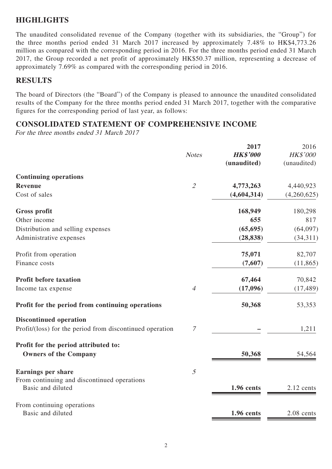## **HIGHLIGHTS**

The unaudited consolidated revenue of the Company (together with its subsidiaries, the "Group") for the three months period ended 31 March 2017 increased by approximately 7.48% to HK\$4,773.26 million as compared with the corresponding period in 2016. For the three months period ended 31 March 2017, the Group recorded a net profit of approximately HK\$50.37 million, representing a decrease of approximately 7.69% as compared with the corresponding period in 2016.

### **RESULTS**

The board of Directors (the "Board") of the Company is pleased to announce the unaudited consolidated results of the Company for the three months period ended 31 March 2017, together with the comparative figures for the corresponding period of last year, as follows:

### **CONSOLIDATED STATEMENT OF COMPREHENSIVE INCOME**

For the three months ended 31 March 2017

|                                                          |                             | 2017            | 2016        |
|----------------------------------------------------------|-----------------------------|-----------------|-------------|
|                                                          | <b>Notes</b>                | <b>HK\$'000</b> | HK\$'000    |
|                                                          |                             | (unaudited)     | (unaudited) |
| <b>Continuing operations</b>                             |                             |                 |             |
| Revenue                                                  | $\mathcal{L}_{\mathcal{L}}$ | 4,773,263       | 4,440,923   |
| Cost of sales                                            |                             | (4, 604, 314)   | (4,260,625) |
| <b>Gross profit</b>                                      |                             | 168,949         | 180,298     |
| Other income                                             |                             | 655             | 817         |
| Distribution and selling expenses                        |                             | (65, 695)       | (64,097)    |
| Administrative expenses                                  |                             | (28, 838)       | (34,311)    |
| Profit from operation                                    |                             | 75,071          | 82,707      |
| Finance costs                                            |                             | (7,607)         | (11, 865)   |
| <b>Profit before taxation</b>                            |                             | 67,464          | 70,842      |
| Income tax expense                                       | $\overline{4}$              | (17,096)        | (17, 489)   |
| Profit for the period from continuing operations         |                             | 50,368          | 53,353      |
| <b>Discontinued operation</b>                            |                             |                 |             |
| Profit/(loss) for the period from discontinued operation | 7                           |                 | 1,211       |
| Profit for the period attributed to:                     |                             |                 |             |
| <b>Owners of the Company</b>                             |                             | 50,368          | 54,564      |
| <b>Earnings per share</b>                                | $\mathfrak{I}$              |                 |             |
| From continuing and discontinued operations              |                             |                 |             |
| Basic and diluted                                        |                             | 1.96 cents      | 2.12 cents  |
| From continuing operations                               |                             |                 |             |
| Basic and diluted                                        |                             | 1.96 cents      | 2.08 cents  |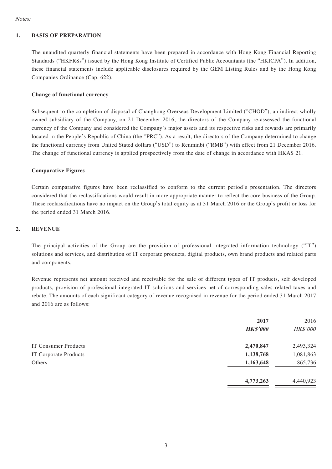### **1. BASIS OF PREPARATION**

The unaudited quarterly financial statements have been prepared in accordance with Hong Kong Financial Reporting Standards ("HKFRSs") issued by the Hong Kong Institute of Certified Public Accountants (the "HKICPA"). In addition, these financial statements include applicable disclosures required by the GEM Listing Rules and by the Hong Kong Companies Ordinance (Cap. 622).

### **Change of functional currency**

Subsequent to the completion of disposal of Changhong Overseas Development Limited ("CHOD"), an indirect wholly owned subsidiary of the Company, on 21 December 2016, the directors of the Company re-assessed the functional currency of the Company and considered the Company's major assets and its respective risks and rewards are primarily located in the People's Republic of China (the "PRC"). As a result, the directors of the Company determined to change the functional currency from United Stated dollars ("USD") to Renminbi ("RMB") with effect from 21 December 2016. The change of functional currency is applied prospectively from the date of change in accordance with HKAS 21.

#### **Comparative Figures**

Certain comparative figures have been reclassified to conform to the current period's presentation. The directors considered that the reclassifications would result in more appropriate manner to reflect the core business of the Group. These reclassifications have no impact on the Group's total equity as at 31 March 2016 or the Group's profit or loss for the period ended 31 March 2016.

#### **2. REVENUE**

The principal activities of the Group are the provision of professional integrated information technology ("IT") solutions and services, and distribution of IT corporate products, digital products, own brand products and related parts and components.

Revenue represents net amount received and receivable for the sale of different types of IT products, self developed products, provision of professional integrated IT solutions and services net of corresponding sales related taxes and rebate. The amounts of each significant category of revenue recognised in revenue for the period ended 31 March 2017 and 2016 are as follows:

|                       | 2017            | 2016      |
|-----------------------|-----------------|-----------|
|                       | <b>HK\$'000</b> | HK\$'000  |
| IT Consumer Products  | 2,470,847       | 2,493,324 |
| IT Corporate Products | 1,138,768       | 1,081,863 |
| Others                | 1,163,648       | 865,736   |
|                       | 4,773,263       | 4,440,923 |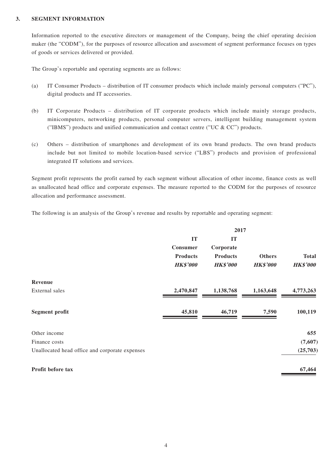#### **3. SEGMENT INFORMATION**

Information reported to the executive directors or management of the Company, being the chief operating decision maker (the "CODM"), for the purposes of resource allocation and assessment of segment performance focuses on types of goods or services delivered or provided.

The Group's reportable and operating segments are as follows:

- (a) IT Consumer Products distribution of IT consumer products which include mainly personal computers ("PC"), digital products and IT accessories.
- (b) IT Corporate Products distribution of IT corporate products which include mainly storage products, minicomputers, networking products, personal computer servers, intelligent building management system ("IBMS") products and unified communication and contact centre ("UC & CC") products.
- (c) Others distribution of smartphones and development of its own brand products. The own brand products include but not limited to mobile location-based service ("LBS") products and provision of professional integrated IT solutions and services.

Segment profit represents the profit earned by each segment without allocation of other income, finance costs as well as unallocated head office and corporate expenses. The measure reported to the CODM for the purposes of resource allocation and performance assessment.

The following is an analysis of the Group's revenue and results by reportable and operating segment:

|                                                | 2017            |                 |                 |                 |
|------------------------------------------------|-----------------|-----------------|-----------------|-----------------|
|                                                | <b>IT</b>       | <b>IT</b>       |                 |                 |
|                                                | <b>Consumer</b> | Corporate       |                 |                 |
|                                                | <b>Products</b> | <b>Products</b> | <b>Others</b>   | <b>Total</b>    |
|                                                | <b>HK\$'000</b> | <b>HK\$'000</b> | <b>HK\$'000</b> | <b>HK\$'000</b> |
| Revenue                                        |                 |                 |                 |                 |
| External sales                                 | 2,470,847       | 1,138,768       | 1,163,648       | 4,773,263       |
| <b>Segment profit</b>                          | 45,810          | 46,719          | 7,590           | 100,119         |
| Other income                                   |                 |                 |                 | 655             |
| Finance costs                                  |                 |                 |                 | (7,607)         |
| Unallocated head office and corporate expenses |                 |                 |                 | (25,703)        |
| Profit before tax                              |                 |                 |                 | 67,464          |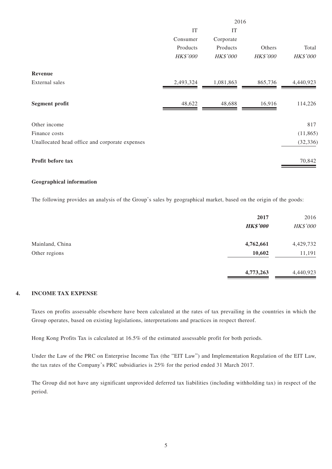|                                                | 2016            |                 |                 |                 |
|------------------------------------------------|-----------------|-----------------|-----------------|-----------------|
|                                                | IT              | IT              |                 |                 |
|                                                | Consumer        | Corporate       |                 |                 |
|                                                | Products        | Products        | Others          | Total           |
|                                                | <b>HK\$'000</b> | <b>HK\$'000</b> | <b>HK\$'000</b> | <b>HK\$'000</b> |
| Revenue                                        |                 |                 |                 |                 |
| External sales                                 | 2,493,324       | 1,081,863       | 865,736         | 4,440,923       |
| <b>Segment profit</b>                          | 48,622          | 48,688          | 16,916          | 114,226         |
| Other income                                   |                 |                 |                 | 817             |
| Finance costs                                  |                 |                 |                 | (11, 865)       |
| Unallocated head office and corporate expenses |                 |                 |                 | (32, 336)       |
| Profit before tax                              |                 |                 |                 | 70,842          |

#### **Geographical information**

The following provides an analysis of the Group's sales by geographical market, based on the origin of the goods:

|                 | 2017            | 2016      |
|-----------------|-----------------|-----------|
|                 | <b>HK\$'000</b> | HK\$'000  |
| Mainland, China | 4,762,661       | 4,429,732 |
| Other regions   | 10,602          | 11,191    |
|                 | 4,773,263       | 4,440,923 |

### **4. INCOME TAX EXPENSE**

Taxes on profits assessable elsewhere have been calculated at the rates of tax prevailing in the countries in which the Group operates, based on existing legislations, interpretations and practices in respect thereof.

Hong Kong Profits Tax is calculated at 16.5% of the estimated assessable profit for both periods.

Under the Law of the PRC on Enterprise Income Tax (the "EIT Law") and Implementation Regulation of the EIT Law, the tax rates of the Company's PRC subsidiaries is 25% for the period ended 31 March 2017.

The Group did not have any significant unprovided deferred tax liabilities (including withholding tax) in respect of the period.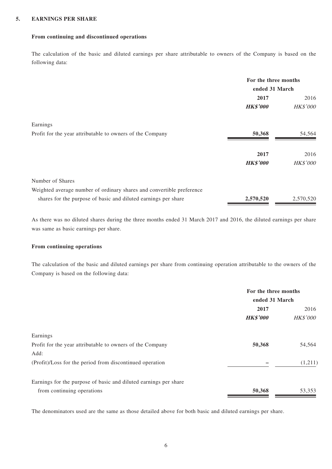#### **5. EARNINGS PER SHARE**

### **From continuing and discontinued operations**

The calculation of the basic and diluted earnings per share attributable to owners of the Company is based on the following data:

|                                                                       | For the three months<br>ended 31 March |           |
|-----------------------------------------------------------------------|----------------------------------------|-----------|
|                                                                       |                                        |           |
|                                                                       | 2017                                   | 2016      |
|                                                                       | <b>HK\$'000</b>                        | HK\$'000  |
| Earnings                                                              |                                        |           |
| Profit for the year attributable to owners of the Company             | 50,368                                 | 54,564    |
|                                                                       | 2017                                   | 2016      |
|                                                                       | <b>HK\$'000</b>                        | HK\$'000  |
| Number of Shares                                                      |                                        |           |
| Weighted average number of ordinary shares and convertible preference |                                        |           |
| shares for the purpose of basic and diluted earnings per share        | 2,570,520                              | 2,570,520 |

As there was no diluted shares during the three months ended 31 March 2017 and 2016, the diluted earnings per share was same as basic earnings per share.

### **From continuing operations**

The calculation of the basic and diluted earnings per share from continuing operation attributable to the owners of the Company is based on the following data:

|                                                                  | For the three months<br>ended 31 March |                 |
|------------------------------------------------------------------|----------------------------------------|-----------------|
|                                                                  | 2017                                   | 2016            |
|                                                                  | <b>HK\$'000</b>                        | <b>HK\$'000</b> |
| Earnings                                                         |                                        |                 |
| Profit for the year attributable to owners of the Company        | 50,368                                 | 54,564          |
| Add:                                                             |                                        |                 |
| (Profit)/Loss for the period from discontinued operation         |                                        | (1,211)         |
| Earnings for the purpose of basic and diluted earnings per share |                                        |                 |
| from continuing operations                                       | 50,368                                 | 53,353          |

The denominators used are the same as those detailed above for both basic and diluted earnings per share.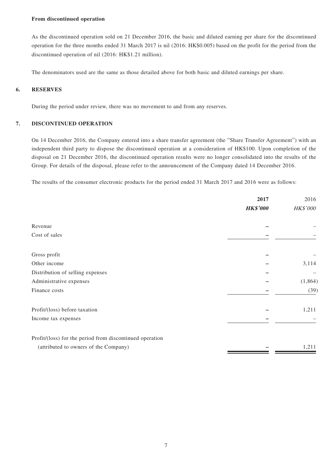#### **From discontinued operation**

As the discontinued operation sold on 21 December 2016, the basic and diluted earning per share for the discontinued operation for the three months ended 31 March 2017 is nil (2016: HK\$0.005) based on the profit for the period from the discontinued operation of nil (2016: HK\$1.21 million).

The denominators used are the same as those detailed above for both basic and diluted earnings per share.

### **6. RESERVES**

During the period under review, there was no movement to and from any reserves.

#### **7. DISCONTINUED OPERATION**

On 14 December 2016, the Company entered into a share transfer agreement (the "Share Transfer Agreement") with an independent third party to dispose the discontinued operation at a consideration of HK\$100. Upon completion of the disposal on 21 December 2016, the discontinued operation results were no longer consolidated into the results of the Group. For details of the disposal, please refer to the announcement of the Company dated 14 December 2016.

The results of the consumer electronic products for the period ended 31 March 2017 and 2016 were as follows:

|                                                          | 2017            | 2016            |
|----------------------------------------------------------|-----------------|-----------------|
|                                                          | <b>HK\$'000</b> | <b>HK\$'000</b> |
| Revenue                                                  |                 |                 |
| Cost of sales                                            |                 |                 |
|                                                          |                 |                 |
| Gross profit                                             |                 |                 |
| Other income                                             |                 | 3,114           |
| Distribution of selling expenses                         |                 |                 |
| Administrative expenses                                  |                 | (1,864)         |
| Finance costs                                            |                 | (39)            |
| Profit/(loss) before taxation                            |                 | 1,211           |
| Income tax expenses                                      |                 |                 |
| Profit/(loss) for the period from discontinued operation |                 |                 |
| (attributed to owners of the Company)                    |                 | 1,211           |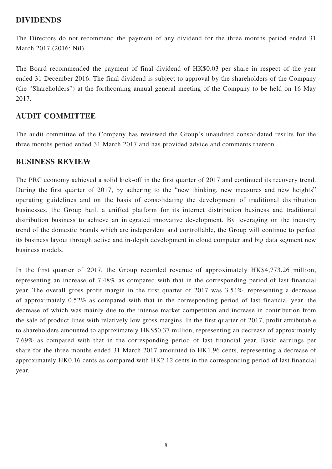### **DIVIDENDS**

The Directors do not recommend the payment of any dividend for the three months period ended 31 March 2017 (2016: Nil).

The Board recommended the payment of final dividend of HK\$0.03 per share in respect of the year ended 31 December 2016. The final dividend is subject to approval by the shareholders of the Company (the "Shareholders") at the forthcoming annual general meeting of the Company to be held on 16 May 2017.

## **AUDIT COMMITTEE**

The audit committee of the Company has reviewed the Group's unaudited consolidated results for the three months period ended 31 March 2017 and has provided advice and comments thereon.

### **BUSINESS REVIEW**

The PRC economy achieved a solid kick-off in the first quarter of 2017 and continued its recovery trend. During the first quarter of 2017, by adhering to the "new thinking, new measures and new heights" operating guidelines and on the basis of consolidating the development of traditional distribution businesses, the Group built a unified platform for its internet distribution business and traditional distribution business to achieve an integrated innovative development. By leveraging on the industry trend of the domestic brands which are independent and controllable, the Group will continue to perfect its business layout through active and in-depth development in cloud computer and big data segment new business models.

In the first quarter of 2017, the Group recorded revenue of approximately HK\$4,773.26 million, representing an increase of 7.48% as compared with that in the corresponding period of last financial year. The overall gross profit margin in the first quarter of 2017 was 3.54%, representing a decrease of approximately 0.52% as compared with that in the corresponding period of last financial year, the decrease of which was mainly due to the intense market competition and increase in contribution from the sale of product lines with relatively low gross margins. In the first quarter of 2017, profit attributable to shareholders amounted to approximately HK\$50.37 million, representing an decrease of approximately 7.69% as compared with that in the corresponding period of last financial year. Basic earnings per share for the three months ended 31 March 2017 amounted to HK1.96 cents, representing a decrease of approximately HK0.16 cents as compared with HK2.12 cents in the corresponding period of last financial year.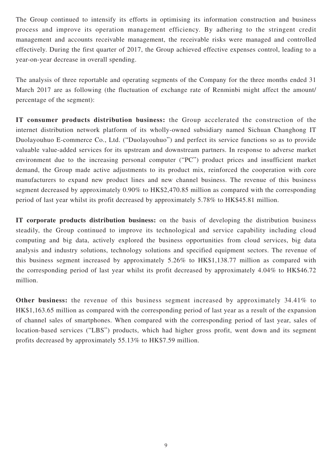The Group continued to intensify its efforts in optimising its information construction and business process and improve its operation management efficiency. By adhering to the stringent credit management and accounts receivable management, the receivable risks were managed and controlled effectively. During the first quarter of 2017, the Group achieved effective expenses control, leading to a year-on-year decrease in overall spending.

The analysis of three reportable and operating segments of the Company for the three months ended 31 March 2017 are as following (the fluctuation of exchange rate of Renminbi might affect the amount/ percentage of the segment):

**IT consumer products distribution business:** the Group accelerated the construction of the internet distribution network platform of its wholly-owned subsidiary named Sichuan Changhong IT Duolayouhuo E-commerce Co., Ltd. ("Duolayouhuo") and perfect its service functions so as to provide valuable value-added services for its upstream and downstream partners. In response to adverse market environment due to the increasing personal computer ("PC") product prices and insufficient market demand, the Group made active adjustments to its product mix, reinforced the cooperation with core manufacturers to expand new product lines and new channel business. The revenue of this business segment decreased by approximately 0.90% to HK\$2,470.85 million as compared with the corresponding period of last year whilst its profit decreased by approximately 5.78% to HK\$45.81 million.

**IT corporate products distribution business:** on the basis of developing the distribution business steadily, the Group continued to improve its technological and service capability including cloud computing and big data, actively explored the business opportunities from cloud services, big data analysis and industry solutions, technology solutions and specified equipment sectors. The revenue of this business segment increased by approximately 5.26% to HK\$1,138.77 million as compared with the corresponding period of last year whilst its profit decreased by approximately 4.04% to HK\$46.72 million.

**Other business:** the revenue of this business segment increased by approximately 34.41% to HK\$1,163.65 million as compared with the corresponding period of last year as a result of the expansion of channel sales of smartphones. When compared with the corresponding period of last year, sales of location-based services ("LBS") products, which had higher gross profit, went down and its segment profits decreased by approximately 55.13% to HK\$7.59 million.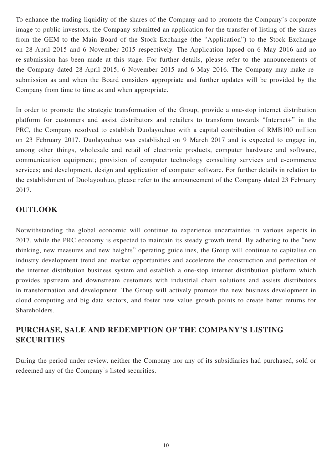To enhance the trading liquidity of the shares of the Company and to promote the Company's corporate image to public investors, the Company submitted an application for the transfer of listing of the shares from the GEM to the Main Board of the Stock Exchange (the "Application") to the Stock Exchange on 28 April 2015 and 6 November 2015 respectively. The Application lapsed on 6 May 2016 and no re-submission has been made at this stage. For further details, please refer to the announcements of the Company dated 28 April 2015, 6 November 2015 and 6 May 2016. The Company may make resubmission as and when the Board considers appropriate and further updates will be provided by the Company from time to time as and when appropriate.

In order to promote the strategic transformation of the Group, provide a one-stop internet distribution platform for customers and assist distributors and retailers to transform towards "Internet+" in the PRC, the Company resolved to establish Duolayouhuo with a capital contribution of RMB100 million on 23 February 2017. Duolayouhuo was established on 9 March 2017 and is expected to engage in, among other things, wholesale and retail of electronic products, computer hardware and software, communication equipment; provision of computer technology consulting services and e-commerce services; and development, design and application of computer software. For further details in relation to the establishment of Duolayouhuo, please refer to the announcement of the Company dated 23 February 2017.

## **OUTLOOK**

Notwithstanding the global economic will continue to experience uncertainties in various aspects in 2017, while the PRC economy is expected to maintain its steady growth trend. By adhering to the "new thinking, new measures and new heights" operating guidelines, the Group will continue to capitalise on industry development trend and market opportunities and accelerate the construction and perfection of the internet distribution business system and establish a one-stop internet distribution platform which provides upstream and downstream customers with industrial chain solutions and assists distributors in transformation and development. The Group will actively promote the new business development in cloud computing and big data sectors, and foster new value growth points to create better returns for Shareholders.

# **PURCHASE, SALE AND REDEMPTION OF THE COMPANY'S LISTING SECURITIES**

During the period under review, neither the Company nor any of its subsidiaries had purchased, sold or redeemed any of the Company's listed securities.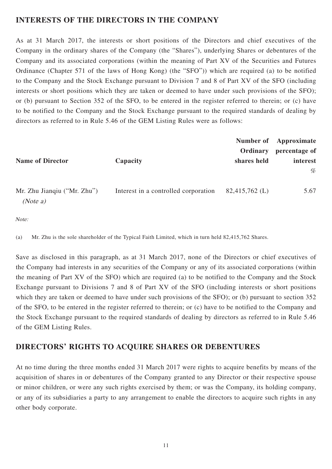## **INTERESTS OF THE DIRECTORS IN THE COMPANY**

As at 31 March 2017, the interests or short positions of the Directors and chief executives of the Company in the ordinary shares of the Company (the "Shares"), underlying Shares or debentures of the Company and its associated corporations (within the meaning of Part XV of the Securities and Futures Ordinance (Chapter 571 of the laws of Hong Kong) (the "SFO")) which are required (a) to be notified to the Company and the Stock Exchange pursuant to Division 7 and 8 of Part XV of the SFO (including interests or short positions which they are taken or deemed to have under such provisions of the SFO); or (b) pursuant to Section 352 of the SFO, to be entered in the register referred to therein; or (c) have to be notified to the Company and the Stock Exchange pursuant to the required standards of dealing by directors as referred to in Rule 5.46 of the GEM Listing Rules were as follows:

|                                         |                                      | Ordinary       | Number of Approximate<br>percentage of |
|-----------------------------------------|--------------------------------------|----------------|----------------------------------------|
| <b>Name of Director</b>                 | Capacity                             | shares held    | interest                               |
|                                         |                                      |                | %                                      |
| Mr. Zhu Jianqiu ("Mr. Zhu")<br>(Note a) | Interest in a controlled corporation | 82,415,762 (L) | 5.67                                   |

Note:

(a) Mr. Zhu is the sole shareholder of the Typical Faith Limited, which in turn held 82,415,762 Shares.

Save as disclosed in this paragraph, as at 31 March 2017, none of the Directors or chief executives of the Company had interests in any securities of the Company or any of its associated corporations (within the meaning of Part XV of the SFO) which are required (a) to be notified to the Company and the Stock Exchange pursuant to Divisions 7 and 8 of Part XV of the SFO (including interests or short positions which they are taken or deemed to have under such provisions of the SFO); or (b) pursuant to section 352 of the SFO, to be entered in the register referred to therein; or (c) have to be notified to the Company and the Stock Exchange pursuant to the required standards of dealing by directors as referred to in Rule 5.46 of the GEM Listing Rules.

## **DIRECTORS' RIGHTS TO ACQUIRE SHARES OR DEBENTURES**

At no time during the three months ended 31 March 2017 were rights to acquire benefits by means of the acquisition of shares in or debentures of the Company granted to any Director or their respective spouse or minor children, or were any such rights exercised by them; or was the Company, its holding company, or any of its subsidiaries a party to any arrangement to enable the directors to acquire such rights in any other body corporate.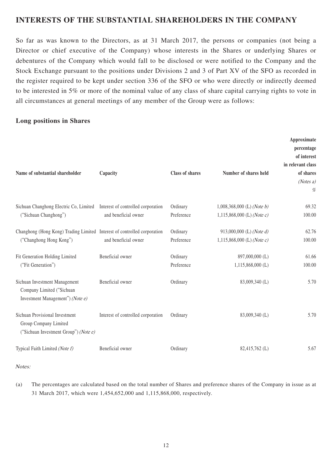## **INTERESTS OF THE SUBSTANTIAL SHAREHOLDERS IN THE COMPANY**

So far as was known to the Directors, as at 31 March 2017, the persons or companies (not being a Director or chief executive of the Company) whose interests in the Shares or underlying Shares or debentures of the Company which would fall to be disclosed or were notified to the Company and the Stock Exchange pursuant to the positions under Divisions 2 and 3 of Part XV of the SFO as recorded in the register required to be kept under section 336 of the SFO or who were directly or indirectly deemed to be interested in 5% or more of the nominal value of any class of share capital carrying rights to vote in all circumstances at general meetings of any member of the Group were as follows:

### **Long positions in Shares**

| Name of substantial shareholder                                                                     | Capacity                           | <b>Class of shares</b> | Number of shares held                                      | Approximate<br>percentage<br>of interest<br>in relevant class<br>of shares<br>(Notes a)<br>% |
|-----------------------------------------------------------------------------------------------------|------------------------------------|------------------------|------------------------------------------------------------|----------------------------------------------------------------------------------------------|
| Sichuan Changhong Electric Co, Limited Interest of controlled corporation<br>("Sichuan Changhong")  | and beneficial owner               | Ordinary<br>Preference | $1,008,368,000$ (L) (Note b)<br>1,115,868,000 (L) (Note c) | 69.32<br>100.00                                                                              |
| Changhong (Hong Kong) Trading Limited Interest of controlled corporation<br>("Changhong Hong Kong") | and beneficial owner               | Ordinary<br>Preference | 913,000,000 (L) (Note d)<br>1,115,868,000 (L) (Note c)     | 62.76<br>100.00                                                                              |
| Fit Generation Holding Limited<br>("Fit Generation")                                                | Beneficial owner                   | Ordinary<br>Preference | 897,000,000 (L)<br>$1,115,868,000$ (L)                     | 61.66<br>100.00                                                                              |
| Sichuan Investment Management<br>Company Limited ("Sichuan<br>Investment Management") (Note $e$ )   | Beneficial owner                   | Ordinary               | 83,009,340 (L)                                             | 5.70                                                                                         |
| Sichuan Provisional Investment<br>Group Company Limited<br>("Sichuan Investment Group") (Note e)    | Interest of controlled corporation | Ordinary               | 83,009,340 (L)                                             | 5.70                                                                                         |
| Typical Faith Limited (Note f)                                                                      | Beneficial owner                   | Ordinary               | 82,415,762 (L)                                             | 5.67                                                                                         |

#### Notes:

(a) The percentages are calculated based on the total number of Shares and preference shares of the Company in issue as at 31 March 2017, which were 1,454,652,000 and 1,115,868,000, respectively.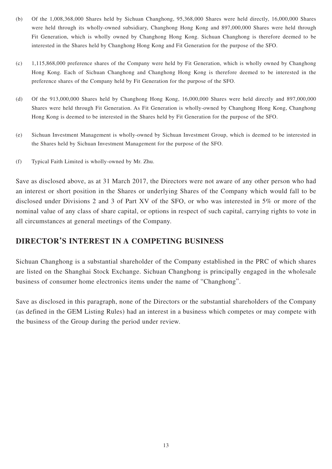- (b) Of the 1,008,368,000 Shares held by Sichuan Changhong, 95,368,000 Shares were held directly, 16,000,000 Shares were held through its wholly-owned subsidiary, Changhong Hong Kong and 897,000,000 Shares were held through Fit Generation, which is wholly owned by Changhong Hong Kong. Sichuan Changhong is therefore deemed to be interested in the Shares held by Changhong Hong Kong and Fit Generation for the purpose of the SFO.
- (c) 1,115,868,000 preference shares of the Company were held by Fit Generation, which is wholly owned by Changhong Hong Kong. Each of Sichuan Changhong and Changhong Hong Kong is therefore deemed to be interested in the preference shares of the Company held by Fit Generation for the purpose of the SFO.
- (d) Of the 913,000,000 Shares held by Changhong Hong Kong, 16,000,000 Shares were held directly and 897,000,000 Shares were held through Fit Generation. As Fit Generation is wholly-owned by Changhong Hong Kong, Changhong Hong Kong is deemed to be interested in the Shares held by Fit Generation for the purpose of the SFO.
- (e) Sichuan Investment Management is wholly-owned by Sichuan Investment Group, which is deemed to be interested in the Shares held by Sichuan Investment Management for the purpose of the SFO.
- (f) Typical Faith Limited is wholly-owned by Mr. Zhu.

Save as disclosed above, as at 31 March 2017, the Directors were not aware of any other person who had an interest or short position in the Shares or underlying Shares of the Company which would fall to be disclosed under Divisions 2 and 3 of Part XV of the SFO, or who was interested in 5% or more of the nominal value of any class of share capital, or options in respect of such capital, carrying rights to vote in all circumstances at general meetings of the Company.

## **DIRECTOR'S INTEREST IN A COMPETING BUSINESS**

Sichuan Changhong is a substantial shareholder of the Company established in the PRC of which shares are listed on the Shanghai Stock Exchange. Sichuan Changhong is principally engaged in the wholesale business of consumer home electronics items under the name of "Changhong".

Save as disclosed in this paragraph, none of the Directors or the substantial shareholders of the Company (as defined in the GEM Listing Rules) had an interest in a business which competes or may compete with the business of the Group during the period under review.